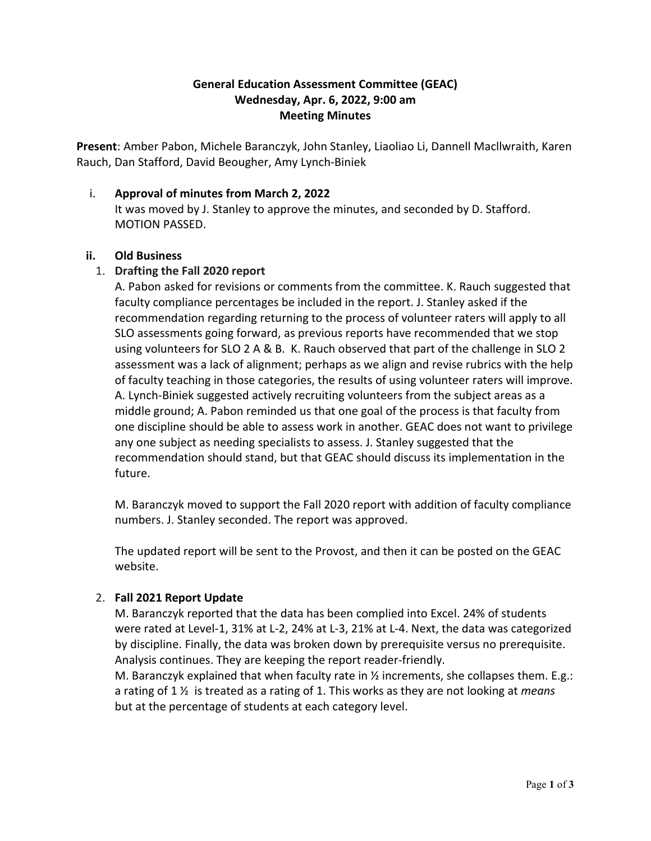# **General Education Assessment Committee (GEAC) Wednesday, Apr. 6, 2022, 9:00 am Meeting Minutes**

**Present**: Amber Pabon, Michele Baranczyk, John Stanley, Liaoliao Li, Dannell Macllwraith, Karen Rauch, Dan Stafford, David Beougher, Amy Lynch-Biniek

## i. **Approval of minutes from March 2, 2022**

It was moved by J. Stanley to approve the minutes, and seconded by D. Stafford. MOTION PASSED.

### **ii. Old Business**

### 1. **Drafting the Fall 2020 report**

A. Pabon asked for revisions or comments from the committee. K. Rauch suggested that faculty compliance percentages be included in the report. J. Stanley asked if the recommendation regarding returning to the process of volunteer raters will apply to all SLO assessments going forward, as previous reports have recommended that we stop using volunteers for SLO 2 A & B. K. Rauch observed that part of the challenge in SLO 2 assessment was a lack of alignment; perhaps as we align and revise rubrics with the help of faculty teaching in those categories, the results of using volunteer raters will improve. A. Lynch-Biniek suggested actively recruiting volunteers from the subject areas as a middle ground; A. Pabon reminded us that one goal of the process is that faculty from one discipline should be able to assess work in another. GEAC does not want to privilege any one subject as needing specialists to assess. J. Stanley suggested that the recommendation should stand, but that GEAC should discuss its implementation in the future.

M. Baranczyk moved to support the Fall 2020 report with addition of faculty compliance numbers. J. Stanley seconded. The report was approved.

The updated report will be sent to the Provost, and then it can be posted on the GEAC website.

### 2. **Fall 2021 Report Update**

M. Baranczyk reported that the data has been complied into Excel. 24% of students were rated at Level-1, 31% at L-2, 24% at L-3, 21% at L-4. Next, the data was categorized by discipline. Finally, the data was broken down by prerequisite versus no prerequisite. Analysis continues. They are keeping the report reader-friendly.

M. Baranczyk explained that when faculty rate in  $\frac{1}{2}$  increments, she collapses them. E.g.: a rating of 1 ½ is treated as a rating of 1. This works as they are not looking at *means* but at the percentage of students at each category level.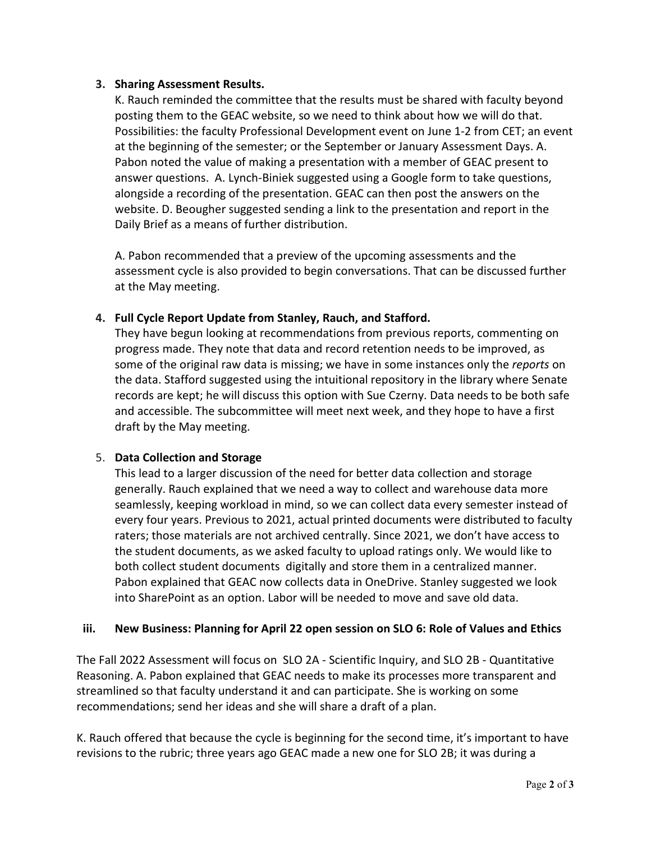### **3. Sharing Assessment Results.**

K. Rauch reminded the committee that the results must be shared with faculty beyond posting them to the GEAC website, so we need to think about how we will do that. Possibilities: the faculty Professional Development event on June 1-2 from CET; an event at the beginning of the semester; or the September or January Assessment Days. A. Pabon noted the value of making a presentation with a member of GEAC present to answer questions. A. Lynch-Biniek suggested using a Google form to take questions, alongside a recording of the presentation. GEAC can then post the answers on the website. D. Beougher suggested sending a link to the presentation and report in the Daily Brief as a means of further distribution.

A. Pabon recommended that a preview of the upcoming assessments and the assessment cycle is also provided to begin conversations. That can be discussed further at the May meeting.

## **4. Full Cycle Report Update from Stanley, Rauch, and Stafford.**

They have begun looking at recommendations from previous reports, commenting on progress made. They note that data and record retention needs to be improved, as some of the original raw data is missing; we have in some instances only the *reports* on the data. Stafford suggested using the intuitional repository in the library where Senate records are kept; he will discuss this option with Sue Czerny. Data needs to be both safe and accessible. The subcommittee will meet next week, and they hope to have a first draft by the May meeting.

### 5. **Data Collection and Storage**

This lead to a larger discussion of the need for better data collection and storage generally. Rauch explained that we need a way to collect and warehouse data more seamlessly, keeping workload in mind, so we can collect data every semester instead of every four years. Previous to 2021, actual printed documents were distributed to faculty raters; those materials are not archived centrally. Since 2021, we don't have access to the student documents, as we asked faculty to upload ratings only. We would like to both collect student documents digitally and store them in a centralized manner. Pabon explained that GEAC now collects data in OneDrive. Stanley suggested we look into SharePoint as an option. Labor will be needed to move and save old data.

### **iii. New Business: Planning for April 22 open session on SLO 6: Role of Values and Ethics**

The Fall 2022 Assessment will focus on SLO 2A - Scientific Inquiry, and SLO 2B - Quantitative Reasoning. A. Pabon explained that GEAC needs to make its processes more transparent and streamlined so that faculty understand it and can participate. She is working on some recommendations; send her ideas and she will share a draft of a plan.

K. Rauch offered that because the cycle is beginning for the second time, it's important to have revisions to the rubric; three years ago GEAC made a new one for SLO 2B; it was during a